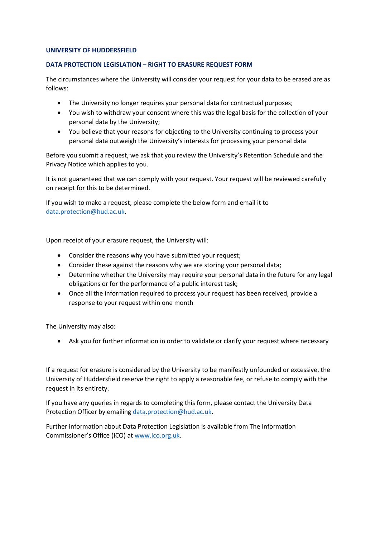## **UNIVERSITY OF HUDDERSFIELD**

## **DATA PROTECTION LEGISLATION – RIGHT TO ERASURE REQUEST FORM**

The circumstances where the University will consider your request for your data to be erased are as follows:

- The University no longer requires your personal data for contractual purposes;
- You wish to withdraw your consent where this was the legal basis for the collection of your personal data by the University;
- You believe that your reasons for objecting to the University continuing to process your personal data outweigh the University's interests for processing your personal data

Before you submit a request, we ask that you review the University's Retention Schedule and the Privacy Notice which applies to you.

It is not guaranteed that we can comply with your request. Your request will be reviewed carefully on receipt for this to be determined.

If you wish to make a request, please complete the below form and email it to [data.protection@hud.ac.uk.](mailto:data.protection@hud.ac.uk)

Upon receipt of your erasure request, the University will:

- Consider the reasons why you have submitted your request;
- Consider these against the reasons why we are storing your personal data;
- Determine whether the University may require your personal data in the future for any legal obligations or for the performance of a public interest task;
- Once all the information required to process your request has been received, provide a response to your request within one month

The University may also:

• Ask you for further information in order to validate or clarify your request where necessary

If a request for erasure is considered by the University to be manifestly unfounded or excessive, the University of Huddersfield reserve the right to apply a reasonable fee, or refuse to comply with the request in its entirety.

If you have any queries in regards to completing this form, please contact the University Data Protection Officer by emailing [data.protection@hud.ac.uk.](mailto:data.protection@hud.ac.uk)

Further information about Data Protection Legislation is available from The Information Commissioner's Office (ICO) at [www.ico.org.uk.](http://www.ico.org.uk/)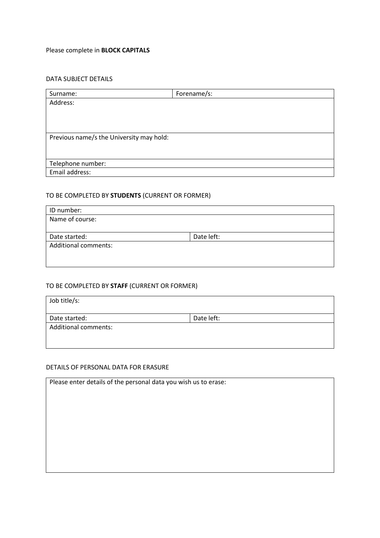# Please complete in **BLOCK CAPITALS**

## DATA SUBJECT DETAILS

| Surname:                                 | Forename/s: |  |
|------------------------------------------|-------------|--|
| Address:                                 |             |  |
|                                          |             |  |
|                                          |             |  |
|                                          |             |  |
| Previous name/s the University may hold: |             |  |
|                                          |             |  |
|                                          |             |  |
| Telephone number:                        |             |  |
| Email address:                           |             |  |

# TO BE COMPLETED BY **STUDENTS** (CURRENT OR FORMER)

| ID number:                  |            |
|-----------------------------|------------|
| Name of course:             |            |
|                             |            |
| Date started:               | Date left: |
| <b>Additional comments:</b> |            |
|                             |            |
|                             |            |

## TO BE COMPLETED BY **STAFF** (CURRENT OR FORMER)

| Job title/s:                |            |
|-----------------------------|------------|
| Date started:               | Date left: |
| <b>Additional comments:</b> |            |
|                             |            |
|                             |            |

## DETAILS OF PERSONAL DATA FOR ERASURE

| Please enter details of the personal data you wish us to erase: |  |  |
|-----------------------------------------------------------------|--|--|
|                                                                 |  |  |
|                                                                 |  |  |
|                                                                 |  |  |
|                                                                 |  |  |
|                                                                 |  |  |
|                                                                 |  |  |
|                                                                 |  |  |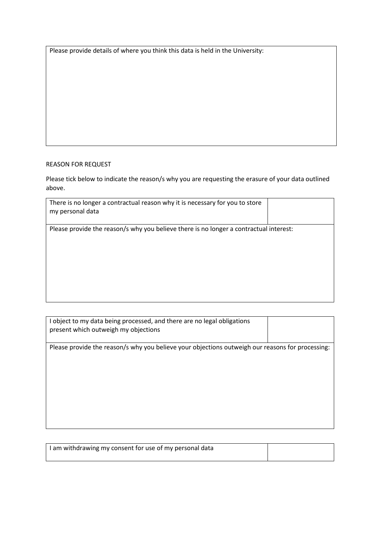Please provide details of where you think this data is held in the University:

## REASON FOR REQUEST

Please tick below to indicate the reason/s why you are requesting the erasure of your data outlined above.

| There is no longer a contractual reason why it is necessary for you to store<br>my personal data |  |
|--------------------------------------------------------------------------------------------------|--|
| Please provide the reason/s why you believe there is no longer a contractual interest:           |  |
|                                                                                                  |  |

| I object to my data being processed, and there are no legal obligations<br>present which outweigh my objections |  |
|-----------------------------------------------------------------------------------------------------------------|--|
| Please provide the reason/s why you believe your objections outweigh our reasons for processing:                |  |
|                                                                                                                 |  |

| I am withdrawing my consent for use of my personal data |  |
|---------------------------------------------------------|--|
|                                                         |  |
|                                                         |  |
|                                                         |  |